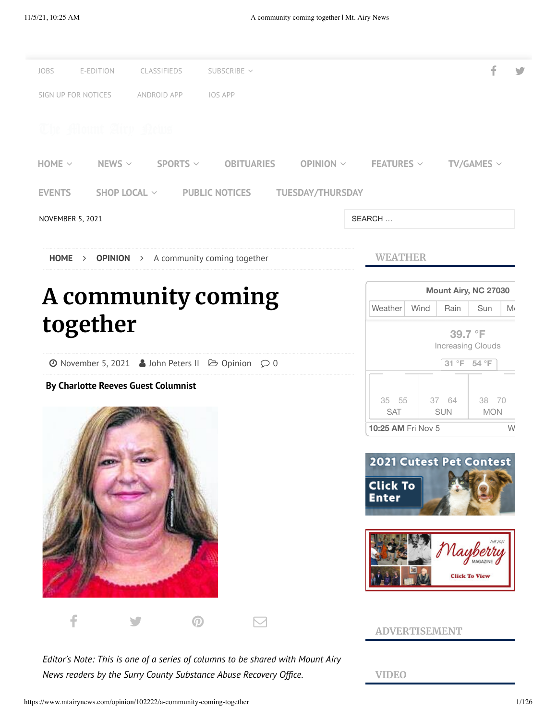

*Editor's Note: This is one of a series of columns to be shared with Mount Airy News readers by the Surry County Substance Abuse Recovery Office.*

**VIDEO**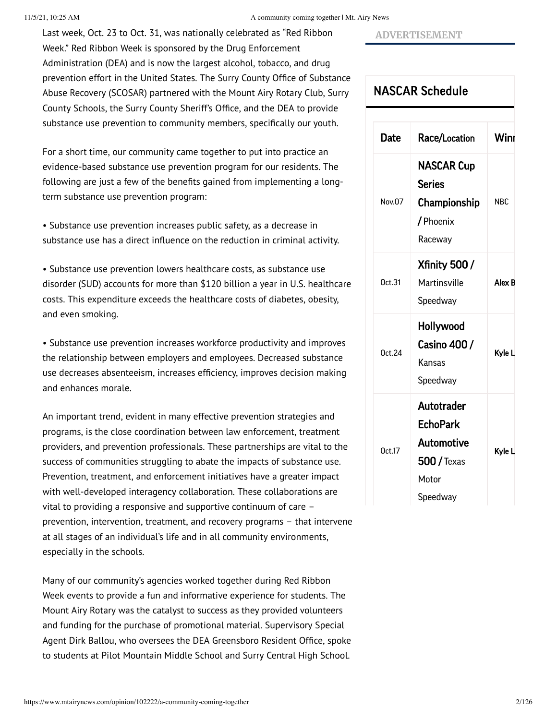#### 11/5/21, 10:25 AM A community coming together | Mt. Airy News

Last week, Oct. 23 to Oct. 31, was nationally celebrated as "Red Ribbon Week." Red Ribbon Week is sponsored by the Drug Enforcement Administration (DEA) and is now the largest alcohol, tobacco, and drug prevention effort in the United States. The Surry County Office of Substance Abuse Recovery (SCOSAR) partnered with the Mount Airy Rotary Club, Surry County Schools, the Surry County Sheriff's Office, and the DEA to provide substance use prevention to community members, specifically our youth.

For a short time, our community came together to put into practice an evidence-based substance use prevention program for our residents. The following are just a few of the benefits gained from implementing a longterm substance use prevention program:

• Substance use prevention increases public safety, as a decrease in substance use has a direct influence on the reduction in criminal activity.

• Substance use prevention lowers healthcare costs, as substance use disorder (SUD) accounts for more than \$120 billion a year in U.S. healthcare costs. This expenditure exceeds the healthcare costs of diabetes, obesity, and even smoking.

• Substance use prevention increases workforce productivity and improves the relationship between employers and employees. Decreased substance use decreases absenteeism, increases efficiency, improves decision making and enhances morale.

An important trend, evident in many effective prevention strategies and programs, is the close coordination between law enforcement, treatment providers, and prevention professionals. These partnerships are vital to the success of communities struggling to abate the impacts of substance use. Prevention, treatment, and enforcement initiatives have a greater impact with well-developed interagency collaboration. These collaborations are vital to providing a responsive and supportive continuum of care – prevention, intervention, treatment, and recovery programs – that intervene at all stages of an individual's life and in all community environments, especially in the schools.

Many of our community's agencies worked together during Red Ribbon Week events to provide a fun and informative experience for students. The Mount Airy Rotary was the catalyst to success as they provided volunteers and funding for the purchase of promotional material. Supervisory Special Agent Dirk Ballou, who oversees the DEA Greensboro Resident Office, spoke to students at Pilot Mountain Middle School and Surry Central High School.

### **ADVERTISEMENT**

## NASCAR [Schedule](https://racing.ap.org/themountairynews/schedule)

| <b>Date</b>   | Race/Location       | Winr       |
|---------------|---------------------|------------|
| Nov.07        | <b>NASCAR Cup</b>   |            |
|               | <b>Series</b>       |            |
|               | Championship        | <b>NBC</b> |
|               | / Phoenix           |            |
|               | Raceway             |            |
| 0ct.31        | <b>Xfinity 500/</b> |            |
|               | Martinsville        | Alex B     |
|               | Speedway            |            |
| <b>Ort 24</b> | Hollywood           |            |
|               | Casino 400 /        | Kyle L     |
|               | Kansas              |            |
|               | Speedway            |            |
| Oct.17        | <b>Autotrader</b>   |            |
|               | <b>EchoPark</b>     | Kyle L     |
|               | Automotive          |            |
|               | $500$ / Texas       |            |
|               | Motor               |            |
|               | Speedway            |            |